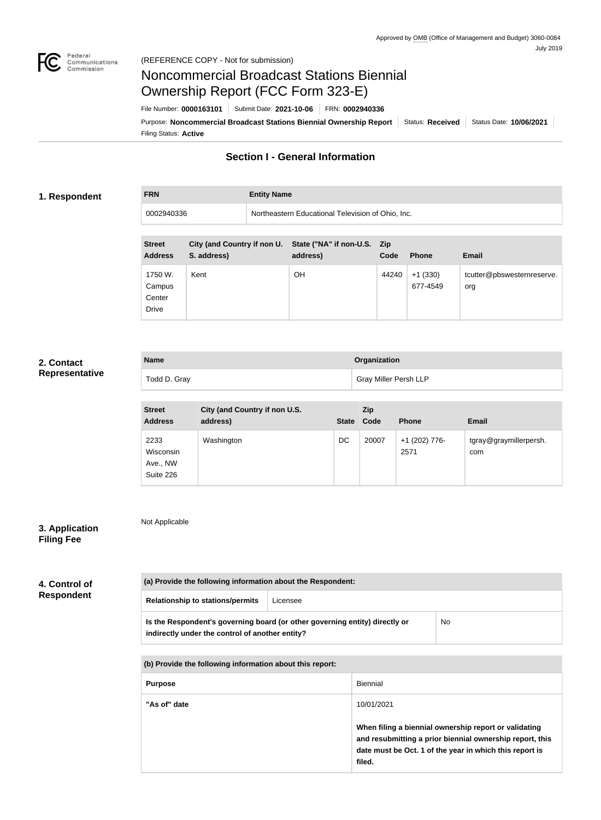

**FRN Entity Name**

# Noncommercial Broadcast Stations Biennial Ownership Report (FCC Form 323-E)

Filing Status: **Active** Purpose: Noncommercial Broadcast Stations Biennial Ownership Report Status: Received Status Date: 10/06/2021 File Number: **0000163101** Submit Date: **2021-10-06** FRN: **0002940336**

# **Section I - General Information**

#### **1. Respondent**

0002940336 Northeastern Educational Television of Ohio, Inc.

| <b>Street</b><br><b>Address</b>             | City (and Country if non U.<br>S. address) | State ("NA" if non-U.S. Zip<br>address) | Code  | <b>Phone</b>          | <b>Email</b>                      |
|---------------------------------------------|--------------------------------------------|-----------------------------------------|-------|-----------------------|-----------------------------------|
| 1750 W.<br>Campus<br>Center<br><b>Drive</b> | Kent                                       | OΗ                                      | 44240 | $+1(330)$<br>677-4549 | tcutter@pbswesternreserve.<br>org |

### **2. Contact Representative**

| <b>Name</b>  | Organization          |  |
|--------------|-----------------------|--|
| Todd D. Gray | Gray Miller Persh LLP |  |

| <b>Street</b><br><b>Address</b>            | City (and Country if non U.S.<br>address) | <b>State</b> | <b>Zip</b><br>Code | <b>Phone</b>          | <b>Email</b>                  |
|--------------------------------------------|-------------------------------------------|--------------|--------------------|-----------------------|-------------------------------|
| 2233<br>Wisconsin<br>Ave., NW<br>Suite 226 | Washington                                | DC           | 20007              | +1 (202) 776-<br>2571 | tgray@graymillerpersh.<br>com |

## **3. Application Filing Fee**

Not Applicable

**(a) Provide the following information about the Respondent: Relationship to stations/permits** Licensee **Is the Respondent's governing board (or other governing entity) directly or indirectly under the control of another entity?** No **(b) Provide the following information about this report:** Purpose **Biennial "As of" date** 10/01/2021 **4. Control of Respondent**

> **When filing a biennial ownership report or validating and resubmitting a prior biennial ownership report, this date must be Oct. 1 of the year in which this report is filed.**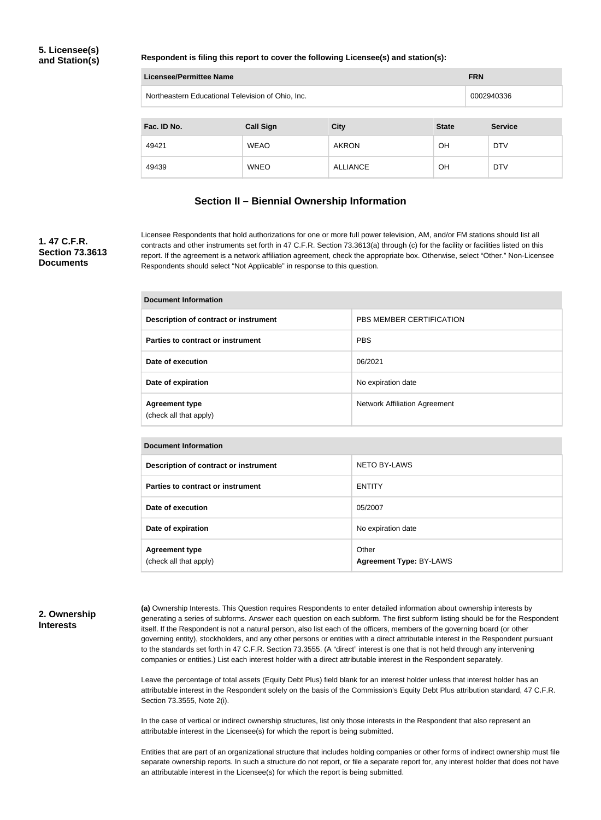#### **5. Licensee(s) and Station(s)**

#### **Respondent is filing this report to cover the following Licensee(s) and station(s):**

| <b>Licensee/Permittee Name</b><br><b>FRN</b>                    |                  |                 |              |  |                |  |
|-----------------------------------------------------------------|------------------|-----------------|--------------|--|----------------|--|
| Northeastern Educational Television of Ohio, Inc.<br>0002940336 |                  |                 |              |  |                |  |
|                                                                 |                  |                 |              |  |                |  |
| Fac. ID No.                                                     | <b>Call Sign</b> | <b>City</b>     | <b>State</b> |  | <b>Service</b> |  |
| 49421                                                           | <b>WEAO</b>      | <b>AKRON</b>    | <b>OH</b>    |  | <b>DTV</b>     |  |
| 49439                                                           | <b>WNEO</b>      | <b>ALLIANCE</b> | OΗ           |  | <b>DTV</b>     |  |

# **Section II – Biennial Ownership Information**

#### **1. 47 C.F.R. Section 73.3613 Documents**

Licensee Respondents that hold authorizations for one or more full power television, AM, and/or FM stations should list all contracts and other instruments set forth in 47 C.F.R. Section 73.3613(a) through (c) for the facility or facilities listed on this report. If the agreement is a network affiliation agreement, check the appropriate box. Otherwise, select "Other." Non-Licensee Respondents should select "Not Applicable" in response to this question.

| <b>Document Information</b>                     |                                      |  |
|-------------------------------------------------|--------------------------------------|--|
| Description of contract or instrument           | PBS MEMBER CERTIFICATION             |  |
| Parties to contract or instrument               | <b>PBS</b>                           |  |
| Date of execution                               | 06/2021                              |  |
| Date of expiration                              | No expiration date                   |  |
| <b>Agreement type</b><br>(check all that apply) | <b>Network Affiliation Agreement</b> |  |

| <b>Document Information</b>                     |                                  |  |
|-------------------------------------------------|----------------------------------|--|
| Description of contract or instrument           | <b>NETO BY-LAWS</b>              |  |
| <b>Parties to contract or instrument</b>        | <b>ENTITY</b>                    |  |
| Date of execution                               | 05/2007                          |  |
| Date of expiration                              | No expiration date               |  |
| <b>Agreement type</b><br>(check all that apply) | Other<br>Agreement Type: BY-LAWS |  |

#### **2. Ownership Interests**

**(a)** Ownership Interests. This Question requires Respondents to enter detailed information about ownership interests by generating a series of subforms. Answer each question on each subform. The first subform listing should be for the Respondent itself. If the Respondent is not a natural person, also list each of the officers, members of the governing board (or other governing entity), stockholders, and any other persons or entities with a direct attributable interest in the Respondent pursuant to the standards set forth in 47 C.F.R. Section 73.3555. (A "direct" interest is one that is not held through any intervening companies or entities.) List each interest holder with a direct attributable interest in the Respondent separately.

Leave the percentage of total assets (Equity Debt Plus) field blank for an interest holder unless that interest holder has an attributable interest in the Respondent solely on the basis of the Commission's Equity Debt Plus attribution standard, 47 C.F.R. Section 73.3555, Note 2(i).

In the case of vertical or indirect ownership structures, list only those interests in the Respondent that also represent an attributable interest in the Licensee(s) for which the report is being submitted.

Entities that are part of an organizational structure that includes holding companies or other forms of indirect ownership must file separate ownership reports. In such a structure do not report, or file a separate report for, any interest holder that does not have an attributable interest in the Licensee(s) for which the report is being submitted.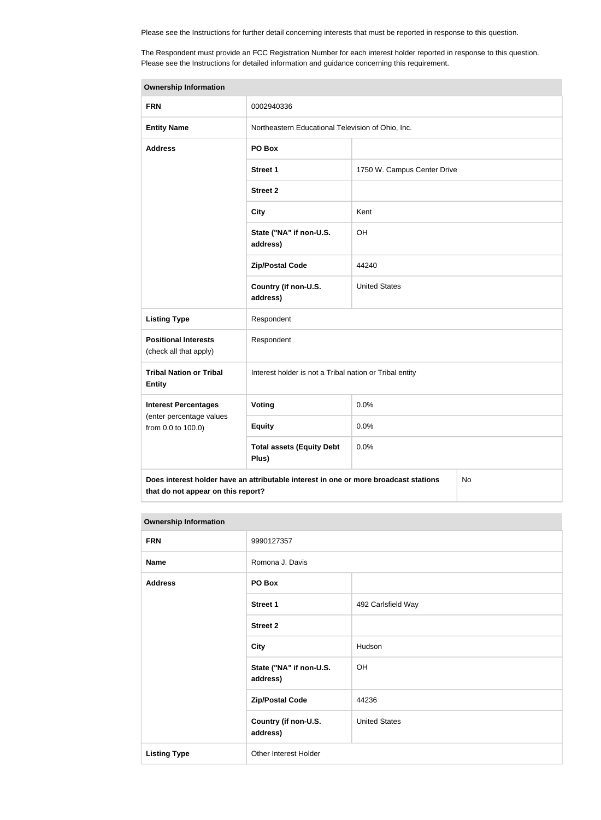Please see the Instructions for further detail concerning interests that must be reported in response to this question.

The Respondent must provide an FCC Registration Number for each interest holder reported in response to this question. Please see the Instructions for detailed information and guidance concerning this requirement.

| <b>Ownership Information</b>                                                                                                     |                                                         |                             |  |  |
|----------------------------------------------------------------------------------------------------------------------------------|---------------------------------------------------------|-----------------------------|--|--|
| <b>FRN</b>                                                                                                                       | 0002940336                                              |                             |  |  |
| <b>Entity Name</b>                                                                                                               | Northeastern Educational Television of Ohio, Inc.       |                             |  |  |
| <b>Address</b>                                                                                                                   | PO Box                                                  |                             |  |  |
|                                                                                                                                  | <b>Street 1</b>                                         | 1750 W. Campus Center Drive |  |  |
|                                                                                                                                  | <b>Street 2</b>                                         |                             |  |  |
|                                                                                                                                  | <b>City</b>                                             | Kent                        |  |  |
|                                                                                                                                  | State ("NA" if non-U.S.<br>address)                     | OH                          |  |  |
|                                                                                                                                  | <b>Zip/Postal Code</b>                                  | 44240                       |  |  |
|                                                                                                                                  | Country (if non-U.S.<br>address)                        | <b>United States</b>        |  |  |
| <b>Listing Type</b>                                                                                                              | Respondent                                              |                             |  |  |
| <b>Positional Interests</b><br>(check all that apply)                                                                            | Respondent                                              |                             |  |  |
| <b>Tribal Nation or Tribal</b><br><b>Entity</b>                                                                                  | Interest holder is not a Tribal nation or Tribal entity |                             |  |  |
| <b>Interest Percentages</b>                                                                                                      | Voting                                                  | 0.0%                        |  |  |
| (enter percentage values<br>from 0.0 to 100.0)                                                                                   | <b>Equity</b>                                           | 0.0%                        |  |  |
|                                                                                                                                  | <b>Total assets (Equity Debt</b><br>Plus)               | 0.0%                        |  |  |
| Does interest holder have an attributable interest in one or more broadcast stations<br>No<br>that do not appear on this report? |                                                         |                             |  |  |

| <b>Ownership Information</b> |                                     |                      |  |  |
|------------------------------|-------------------------------------|----------------------|--|--|
| <b>FRN</b>                   | 9990127357                          |                      |  |  |
| <b>Name</b>                  | Romona J. Davis                     |                      |  |  |
| <b>Address</b>               | PO Box                              |                      |  |  |
|                              | <b>Street 1</b>                     | 492 Carlsfield Way   |  |  |
|                              | <b>Street 2</b>                     |                      |  |  |
|                              | <b>City</b>                         | Hudson               |  |  |
|                              | State ("NA" if non-U.S.<br>address) | OH                   |  |  |
|                              | <b>Zip/Postal Code</b>              | 44236                |  |  |
|                              | Country (if non-U.S.<br>address)    | <b>United States</b> |  |  |
| <b>Listing Type</b>          | Other Interest Holder               |                      |  |  |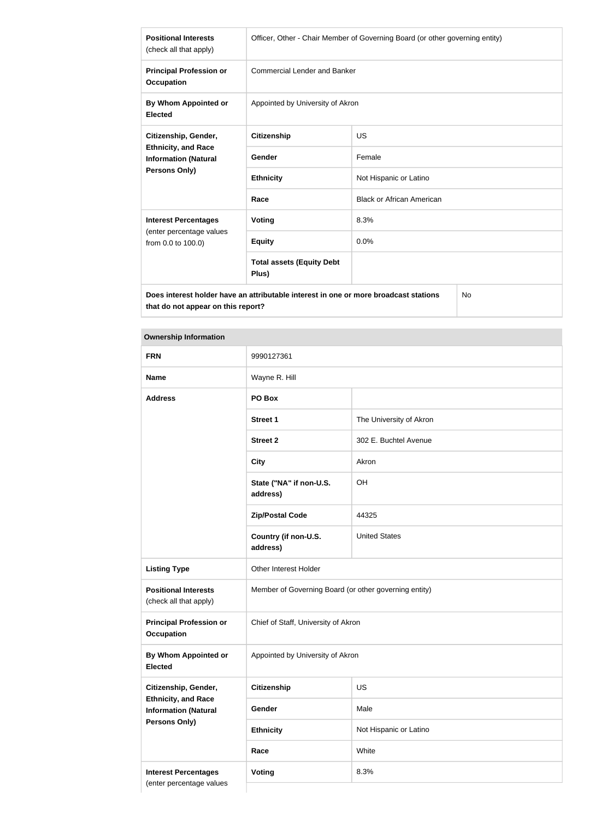| <b>Positional Interests</b><br>(check all that apply)                                                | Officer, Other - Chair Member of Governing Board (or other governing entity) |                                  |  |
|------------------------------------------------------------------------------------------------------|------------------------------------------------------------------------------|----------------------------------|--|
| <b>Principal Profession or</b><br><b>Occupation</b>                                                  | <b>Commercial Lender and Banker</b>                                          |                                  |  |
| By Whom Appointed or<br><b>Elected</b>                                                               | Appointed by University of Akron                                             |                                  |  |
| Citizenship, Gender,                                                                                 | <b>Citizenship</b>                                                           | <b>US</b>                        |  |
| <b>Ethnicity, and Race</b><br><b>Information (Natural</b>                                            | <b>Gender</b>                                                                | Female                           |  |
| Persons Only)                                                                                        | <b>Ethnicity</b>                                                             | Not Hispanic or Latino           |  |
|                                                                                                      | Race                                                                         | <b>Black or African American</b> |  |
| <b>Interest Percentages</b>                                                                          | <b>Voting</b>                                                                | 8.3%                             |  |
| (enter percentage values<br>from 0.0 to 100.0)                                                       | <b>Equity</b>                                                                | 0.0%                             |  |
|                                                                                                      | <b>Total assets (Equity Debt</b><br>Plus)                                    |                                  |  |
| Does interest holder have an attributable interest in one or more broadcast stations<br>$N_{\Omega}$ |                                                                              |                                  |  |

**Does interest holder have an attributable interest in one or more broadcast stations that do not appear on this report?**

No

#### **Ownership Information**

| <b>FRN</b>                                                | 9990127361                                            |                         |  |
|-----------------------------------------------------------|-------------------------------------------------------|-------------------------|--|
| <b>Name</b>                                               | Wayne R. Hill                                         |                         |  |
| <b>Address</b>                                            | PO Box                                                |                         |  |
|                                                           | <b>Street 1</b>                                       | The University of Akron |  |
|                                                           | <b>Street 2</b>                                       | 302 E. Buchtel Avenue   |  |
|                                                           | <b>City</b>                                           | Akron                   |  |
|                                                           | State ("NA" if non-U.S.<br>address)                   | OH                      |  |
|                                                           | <b>Zip/Postal Code</b>                                | 44325                   |  |
|                                                           | Country (if non-U.S.<br>address)                      | <b>United States</b>    |  |
| <b>Listing Type</b>                                       | Other Interest Holder                                 |                         |  |
| <b>Positional Interests</b><br>(check all that apply)     | Member of Governing Board (or other governing entity) |                         |  |
| <b>Principal Profession or</b><br><b>Occupation</b>       | Chief of Staff, University of Akron                   |                         |  |
| By Whom Appointed or<br><b>Elected</b>                    | Appointed by University of Akron                      |                         |  |
| Citizenship, Gender,                                      | <b>Citizenship</b>                                    | US                      |  |
| <b>Ethnicity, and Race</b><br><b>Information (Natural</b> | Gender                                                | Male                    |  |
| <b>Persons Only)</b>                                      | <b>Ethnicity</b>                                      | Not Hispanic or Latino  |  |
|                                                           | Race                                                  | White                   |  |
| <b>Interest Percentages</b>                               | Voting                                                | 8.3%                    |  |
| (enter percentage values                                  |                                                       |                         |  |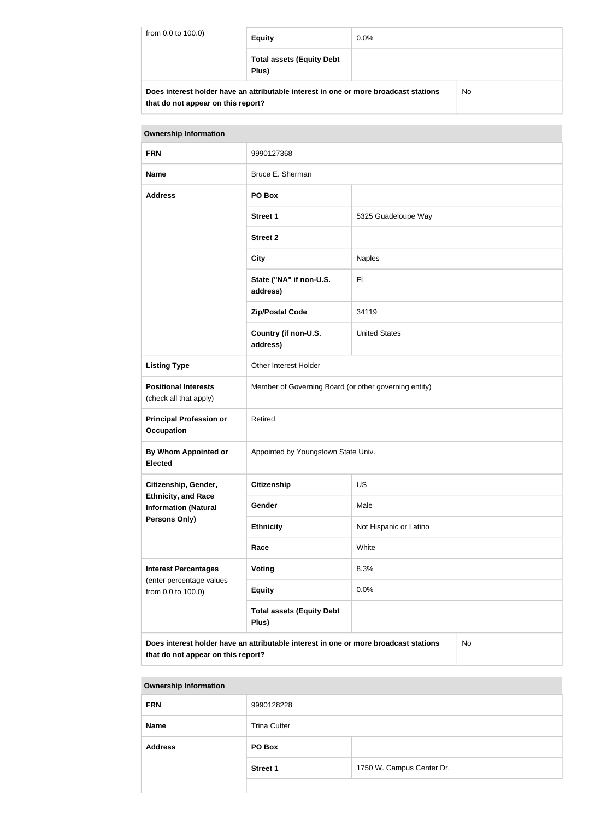| from 0.0 to 100.0) | <b>Equity</b>                                                                        | $0.0\%$ |    |  |
|--------------------|--------------------------------------------------------------------------------------|---------|----|--|
|                    | <b>Total assets (Equity Debt</b><br>Plus)                                            |         |    |  |
|                    | Does interest holder have an attributable interest in one or more broadcast stations |         | No |  |

**that do not appear on this report?**

| <b>Ownership Information</b>                                                                                                     |                                                       |                        |  |  |
|----------------------------------------------------------------------------------------------------------------------------------|-------------------------------------------------------|------------------------|--|--|
| <b>FRN</b>                                                                                                                       | 9990127368                                            |                        |  |  |
| <b>Name</b>                                                                                                                      | Bruce E. Sherman                                      |                        |  |  |
| <b>Address</b>                                                                                                                   | PO Box                                                |                        |  |  |
|                                                                                                                                  | <b>Street 1</b>                                       | 5325 Guadeloupe Way    |  |  |
|                                                                                                                                  | <b>Street 2</b>                                       |                        |  |  |
|                                                                                                                                  | <b>City</b>                                           | Naples                 |  |  |
|                                                                                                                                  | State ("NA" if non-U.S.<br>address)                   | <b>FL</b>              |  |  |
|                                                                                                                                  | <b>Zip/Postal Code</b>                                | 34119                  |  |  |
|                                                                                                                                  | Country (if non-U.S.<br>address)                      | <b>United States</b>   |  |  |
| <b>Listing Type</b>                                                                                                              | Other Interest Holder                                 |                        |  |  |
| <b>Positional Interests</b><br>(check all that apply)                                                                            | Member of Governing Board (or other governing entity) |                        |  |  |
| <b>Principal Profession or</b><br><b>Occupation</b>                                                                              | Retired                                               |                        |  |  |
| By Whom Appointed or<br><b>Elected</b>                                                                                           | Appointed by Youngstown State Univ.                   |                        |  |  |
| Citizenship, Gender,                                                                                                             | <b>Citizenship</b>                                    | <b>US</b>              |  |  |
| <b>Ethnicity, and Race</b><br><b>Information (Natural</b>                                                                        | Gender                                                | Male                   |  |  |
| Persons Only)                                                                                                                    | <b>Ethnicity</b>                                      | Not Hispanic or Latino |  |  |
|                                                                                                                                  | Race                                                  | White                  |  |  |
| <b>Interest Percentages</b>                                                                                                      | <b>Voting</b>                                         | 8.3%                   |  |  |
| (enter percentage values<br>from 0.0 to 100.0)                                                                                   | <b>Equity</b>                                         | 0.0%                   |  |  |
|                                                                                                                                  | <b>Total assets (Equity Debt</b><br>Plus)             |                        |  |  |
| Does interest holder have an attributable interest in one or more broadcast stations<br>No<br>that do not appear on this report? |                                                       |                        |  |  |

| <b>Ownership Information</b> |                     |                           |
|------------------------------|---------------------|---------------------------|
| <b>FRN</b>                   | 9990128228          |                           |
| <b>Name</b>                  | <b>Trina Cutter</b> |                           |
| <b>Address</b>               | PO Box              |                           |
|                              | <b>Street 1</b>     | 1750 W. Campus Center Dr. |
|                              |                     |                           |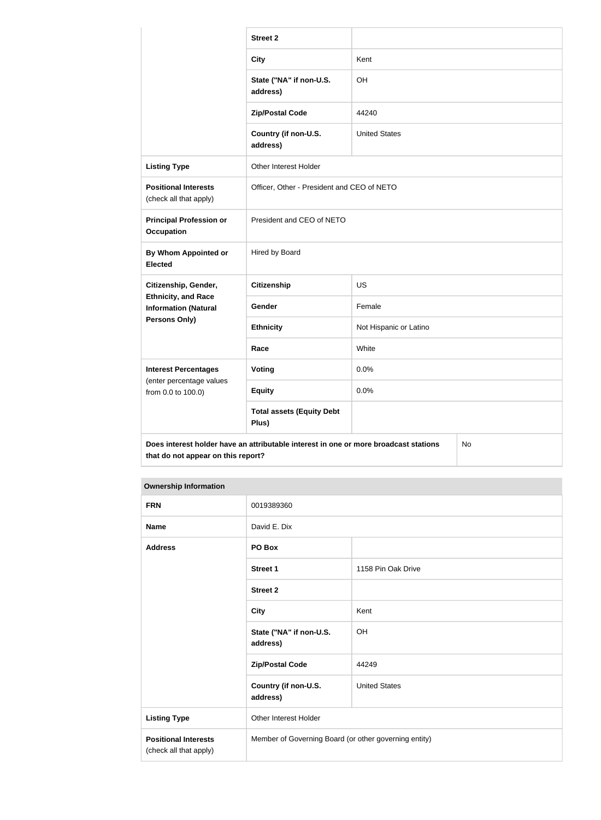|                                                           | <b>Street 2</b>                                                                      |                        |    |
|-----------------------------------------------------------|--------------------------------------------------------------------------------------|------------------------|----|
|                                                           | <b>City</b>                                                                          | Kent                   |    |
|                                                           | State ("NA" if non-U.S.<br>address)                                                  | OH                     |    |
|                                                           | <b>Zip/Postal Code</b>                                                               | 44240                  |    |
|                                                           | Country (if non-U.S.<br>address)                                                     | <b>United States</b>   |    |
| <b>Listing Type</b>                                       | Other Interest Holder                                                                |                        |    |
| <b>Positional Interests</b><br>(check all that apply)     | Officer, Other - President and CEO of NETO                                           |                        |    |
| <b>Principal Profession or</b><br><b>Occupation</b>       | President and CEO of NETO                                                            |                        |    |
| <b>By Whom Appointed or</b><br><b>Elected</b>             | Hired by Board                                                                       |                        |    |
| Citizenship, Gender,                                      | <b>Citizenship</b>                                                                   | <b>US</b>              |    |
| <b>Ethnicity, and Race</b><br><b>Information (Natural</b> | Gender                                                                               | Female                 |    |
| <b>Persons Only)</b>                                      | <b>Ethnicity</b>                                                                     | Not Hispanic or Latino |    |
|                                                           | Race                                                                                 | White                  |    |
| <b>Interest Percentages</b>                               | Voting                                                                               | 0.0%                   |    |
| (enter percentage values<br>from 0.0 to 100.0)            | <b>Equity</b>                                                                        | 0.0%                   |    |
|                                                           | <b>Total assets (Equity Debt</b><br>Plus)                                            |                        |    |
| that do not appear on this report?                        | Does interest holder have an attributable interest in one or more broadcast stations |                        | No |

#### **Ownership Information**

| <b>FRN</b>                                            | 0019389360                                            |                      |
|-------------------------------------------------------|-------------------------------------------------------|----------------------|
| <b>Name</b>                                           | David E. Dix                                          |                      |
| <b>Address</b>                                        | PO Box                                                |                      |
|                                                       | <b>Street 1</b>                                       | 1158 Pin Oak Drive   |
|                                                       | <b>Street 2</b>                                       |                      |
|                                                       | <b>City</b>                                           | Kent                 |
|                                                       | State ("NA" if non-U.S.<br>address)                   | OH                   |
|                                                       | <b>Zip/Postal Code</b>                                | 44249                |
|                                                       | Country (if non-U.S.<br>address)                      | <b>United States</b> |
| <b>Listing Type</b>                                   | Other Interest Holder                                 |                      |
| <b>Positional Interests</b><br>(check all that apply) | Member of Governing Board (or other governing entity) |                      |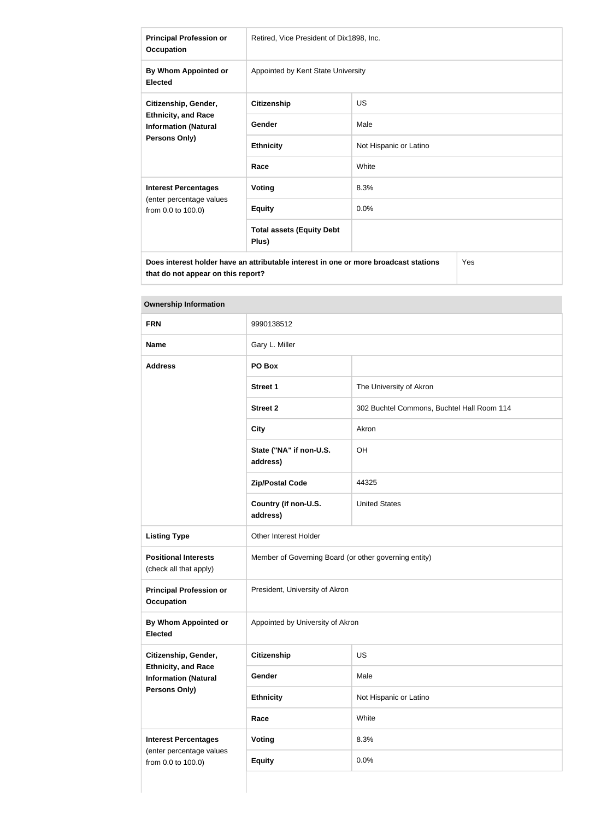| <b>Principal Profession or</b><br><b>Occupation</b>                                                       | Retired, Vice President of Dix1898, Inc.  |                        |  |
|-----------------------------------------------------------------------------------------------------------|-------------------------------------------|------------------------|--|
| By Whom Appointed or<br><b>Elected</b>                                                                    | Appointed by Kent State University        |                        |  |
| Citizenship, Gender,<br><b>Ethnicity, and Race</b><br><b>Information (Natural</b><br><b>Persons Only)</b> | <b>Citizenship</b>                        | <b>US</b>              |  |
|                                                                                                           | Gender                                    | Male                   |  |
|                                                                                                           | <b>Ethnicity</b>                          | Not Hispanic or Latino |  |
|                                                                                                           | Race                                      | White                  |  |
| <b>Interest Percentages</b>                                                                               | Voting                                    | 8.3%                   |  |
| (enter percentage values<br>from 0.0 to 100.0)                                                            | <b>Equity</b>                             | 0.0%                   |  |
|                                                                                                           | <b>Total assets (Equity Debt</b><br>Plus) |                        |  |
| Does interest holder have an attributable interest in one or more broadcast stations<br>Yes               |                                           |                        |  |

**that do not appear on this report?**

| <b>Ownership Information</b>                              |                                                       |                                            |  |
|-----------------------------------------------------------|-------------------------------------------------------|--------------------------------------------|--|
| <b>FRN</b>                                                | 9990138512                                            |                                            |  |
| <b>Name</b>                                               | Gary L. Miller                                        |                                            |  |
| <b>Address</b>                                            | PO Box                                                |                                            |  |
|                                                           | <b>Street 1</b>                                       | The University of Akron                    |  |
|                                                           | <b>Street 2</b>                                       | 302 Buchtel Commons, Buchtel Hall Room 114 |  |
|                                                           | <b>City</b>                                           | Akron                                      |  |
|                                                           | State ("NA" if non-U.S.<br>address)                   | OH                                         |  |
|                                                           | <b>Zip/Postal Code</b>                                | 44325                                      |  |
|                                                           | Country (if non-U.S.<br>address)                      | <b>United States</b>                       |  |
| <b>Listing Type</b>                                       | Other Interest Holder                                 |                                            |  |
| <b>Positional Interests</b><br>(check all that apply)     | Member of Governing Board (or other governing entity) |                                            |  |
| <b>Principal Profession or</b><br><b>Occupation</b>       | President, University of Akron                        |                                            |  |
| By Whom Appointed or<br><b>Elected</b>                    | Appointed by University of Akron                      |                                            |  |
| Citizenship, Gender,                                      | <b>Citizenship</b>                                    | <b>US</b>                                  |  |
| <b>Ethnicity, and Race</b><br><b>Information (Natural</b> | Gender                                                | Male                                       |  |
| Persons Only)                                             | <b>Ethnicity</b>                                      | Not Hispanic or Latino                     |  |
|                                                           | Race                                                  | White                                      |  |
| <b>Interest Percentages</b>                               | <b>Voting</b>                                         | 8.3%                                       |  |
| (enter percentage values<br>from 0.0 to 100.0)            | <b>Equity</b>                                         | 0.0%                                       |  |
|                                                           |                                                       |                                            |  |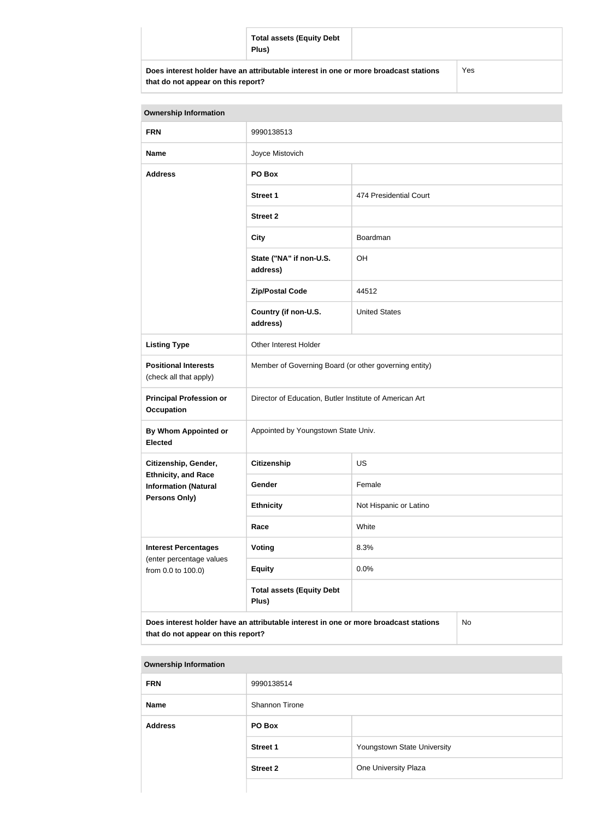|                                    | <b>Total assets (Equity Debt</b><br>Plus)                                            |     |
|------------------------------------|--------------------------------------------------------------------------------------|-----|
| that do not appear on this report? | Does interest holder have an attributable interest in one or more broadcast stations | Yes |

| <b>Ownership Information</b> |                                     |                        |  |
|------------------------------|-------------------------------------|------------------------|--|
| <b>FRN</b>                   | 9990138513                          |                        |  |
| <b>Name</b>                  | Joyce Mistovich                     |                        |  |
| <b>Address</b>               | PO Box                              |                        |  |
|                              | <b>Street 1</b>                     | 474 Presidential Court |  |
|                              | <b>Street 2</b>                     |                        |  |
|                              | <b>City</b>                         | Boardman               |  |
|                              | State ("NA" if non-U.S.<br>address) | OH                     |  |
|                              | <b>Zip/Postal Code</b>              | 44512                  |  |
|                              |                                     |                        |  |

|                                                           | auur <del>c</del> ss)                                                                |                        |    |
|-----------------------------------------------------------|--------------------------------------------------------------------------------------|------------------------|----|
|                                                           | <b>Zip/Postal Code</b>                                                               | 44512                  |    |
|                                                           | Country (if non-U.S.<br>address)                                                     | <b>United States</b>   |    |
| <b>Listing Type</b>                                       | Other Interest Holder                                                                |                        |    |
| <b>Positional Interests</b><br>(check all that apply)     | Member of Governing Board (or other governing entity)                                |                        |    |
| <b>Principal Profession or</b><br><b>Occupation</b>       | Director of Education, Butler Institute of American Art                              |                        |    |
| By Whom Appointed or<br><b>Elected</b>                    | Appointed by Youngstown State Univ.                                                  |                        |    |
| Citizenship, Gender,                                      | <b>Citizenship</b>                                                                   | <b>US</b>              |    |
| <b>Ethnicity, and Race</b><br><b>Information (Natural</b> | Gender                                                                               | Female                 |    |
| Persons Only)                                             | <b>Ethnicity</b>                                                                     | Not Hispanic or Latino |    |
|                                                           | Race                                                                                 | White                  |    |
| <b>Interest Percentages</b>                               | Voting                                                                               | 8.3%                   |    |
| (enter percentage values<br>from 0.0 to 100.0)            | <b>Equity</b>                                                                        | 0.0%                   |    |
|                                                           | <b>Total assets (Equity Debt</b><br>Plus)                                            |                        |    |
| that do not appear on this report?                        | Does interest holder have an attributable interest in one or more broadcast stations |                        | No |

| <b>Ownership Information</b> |                 |                             |
|------------------------------|-----------------|-----------------------------|
| <b>FRN</b>                   | 9990138514      |                             |
| <b>Name</b>                  | Shannon Tirone  |                             |
| <b>Address</b>               | PO Box          |                             |
|                              | <b>Street 1</b> | Youngstown State University |
|                              | <b>Street 2</b> | One University Plaza        |
|                              |                 |                             |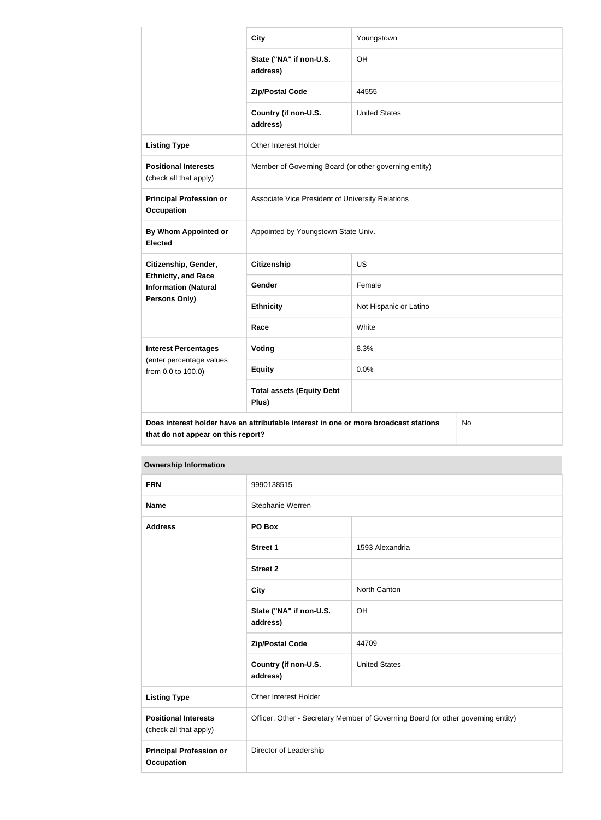|                                                           | <b>City</b>                                                                          | Youngstown             |    |  |
|-----------------------------------------------------------|--------------------------------------------------------------------------------------|------------------------|----|--|
|                                                           | State ("NA" if non-U.S.<br>address)                                                  | OH                     |    |  |
|                                                           | <b>Zip/Postal Code</b>                                                               | 44555                  |    |  |
|                                                           | Country (if non-U.S.<br>address)                                                     | <b>United States</b>   |    |  |
| <b>Listing Type</b>                                       | Other Interest Holder                                                                |                        |    |  |
| <b>Positional Interests</b><br>(check all that apply)     | Member of Governing Board (or other governing entity)                                |                        |    |  |
| <b>Principal Profession or</b><br><b>Occupation</b>       | Associate Vice President of University Relations                                     |                        |    |  |
| By Whom Appointed or<br><b>Elected</b>                    | Appointed by Youngstown State Univ.                                                  |                        |    |  |
| Citizenship, Gender,                                      | <b>Citizenship</b>                                                                   | <b>US</b>              |    |  |
| <b>Ethnicity, and Race</b><br><b>Information (Natural</b> | Gender                                                                               | Female                 |    |  |
| <b>Persons Only)</b>                                      | <b>Ethnicity</b>                                                                     | Not Hispanic or Latino |    |  |
|                                                           | Race                                                                                 | White                  |    |  |
| <b>Interest Percentages</b>                               | <b>Voting</b>                                                                        | 8.3%                   |    |  |
| (enter percentage values<br>from 0.0 to 100.0)            | <b>Equity</b>                                                                        | 0.0%                   |    |  |
|                                                           | <b>Total assets (Equity Debt</b><br>Plus)                                            |                        |    |  |
| that do not appear on this report?                        | Does interest holder have an attributable interest in one or more broadcast stations |                        | No |  |

| <b>Ownership Information</b>                          |                                     |                                                                                  |  |
|-------------------------------------------------------|-------------------------------------|----------------------------------------------------------------------------------|--|
| <b>FRN</b>                                            | 9990138515                          |                                                                                  |  |
| <b>Name</b>                                           | Stephanie Werren                    |                                                                                  |  |
| <b>Address</b>                                        | PO Box                              |                                                                                  |  |
|                                                       | <b>Street 1</b>                     | 1593 Alexandria                                                                  |  |
|                                                       | <b>Street 2</b>                     |                                                                                  |  |
|                                                       | <b>City</b>                         | North Canton                                                                     |  |
|                                                       | State ("NA" if non-U.S.<br>address) | OH                                                                               |  |
|                                                       | <b>Zip/Postal Code</b>              | 44709                                                                            |  |
|                                                       | Country (if non-U.S.<br>address)    | <b>United States</b>                                                             |  |
| <b>Listing Type</b>                                   | Other Interest Holder               |                                                                                  |  |
| <b>Positional Interests</b><br>(check all that apply) |                                     | Officer, Other - Secretary Member of Governing Board (or other governing entity) |  |
| <b>Principal Profession or</b><br><b>Occupation</b>   | Director of Leadership              |                                                                                  |  |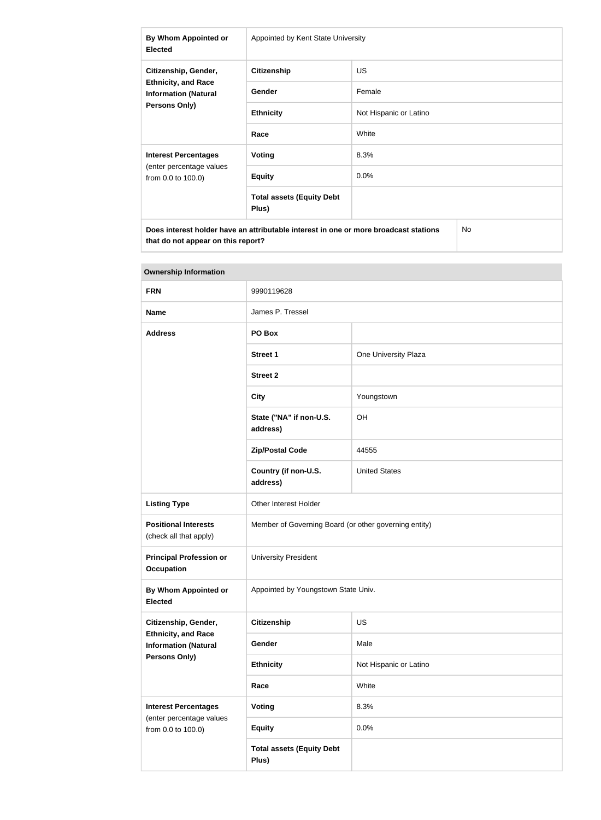| By Whom Appointed or<br><b>Elected</b>                                                                    | Appointed by Kent State University        |                        |  |
|-----------------------------------------------------------------------------------------------------------|-------------------------------------------|------------------------|--|
| Citizenship, Gender,<br><b>Ethnicity, and Race</b><br><b>Information (Natural</b><br><b>Persons Only)</b> | <b>Citizenship</b>                        | <b>US</b>              |  |
|                                                                                                           | <b>Gender</b>                             | Female                 |  |
|                                                                                                           | <b>Ethnicity</b>                          | Not Hispanic or Latino |  |
|                                                                                                           | Race                                      | White                  |  |
| <b>Interest Percentages</b><br>(enter percentage values<br>from 0.0 to 100.0)                             | Voting                                    | 8.3%                   |  |
|                                                                                                           | <b>Equity</b>                             | 0.0%                   |  |
|                                                                                                           | <b>Total assets (Equity Debt</b><br>Plus) |                        |  |
| Does interest holder have an attributable interest in one or more broadcast stations                      |                                           | No                     |  |

| <b>Ownership Information</b>                                                  |                                                       |                        |
|-------------------------------------------------------------------------------|-------------------------------------------------------|------------------------|
| <b>FRN</b>                                                                    | 9990119628                                            |                        |
| <b>Name</b>                                                                   | James P. Tressel                                      |                        |
| <b>Address</b>                                                                | PO Box                                                |                        |
|                                                                               | <b>Street 1</b>                                       | One University Plaza   |
|                                                                               | <b>Street 2</b>                                       |                        |
|                                                                               | <b>City</b>                                           | Youngstown             |
|                                                                               | State ("NA" if non-U.S.<br>address)                   | OH                     |
|                                                                               | <b>Zip/Postal Code</b>                                | 44555                  |
|                                                                               | Country (if non-U.S.<br>address)                      | <b>United States</b>   |
| <b>Listing Type</b>                                                           | Other Interest Holder                                 |                        |
| <b>Positional Interests</b><br>(check all that apply)                         | Member of Governing Board (or other governing entity) |                        |
| <b>Principal Profession or</b><br><b>Occupation</b>                           | <b>University President</b>                           |                        |
| By Whom Appointed or<br><b>Elected</b>                                        | Appointed by Youngstown State Univ.                   |                        |
| Citizenship, Gender,                                                          | <b>Citizenship</b>                                    | <b>US</b>              |
| <b>Ethnicity, and Race</b><br><b>Information (Natural</b><br>Persons Only)    | Gender                                                | Male                   |
|                                                                               | <b>Ethnicity</b>                                      | Not Hispanic or Latino |
|                                                                               | Race                                                  | White                  |
| <b>Interest Percentages</b><br>(enter percentage values<br>from 0.0 to 100.0) | Voting                                                | 8.3%                   |
|                                                                               | <b>Equity</b>                                         | 0.0%                   |
|                                                                               | <b>Total assets (Equity Debt</b><br>Plus)             |                        |

# **Tara**

**that do not appear on this report?**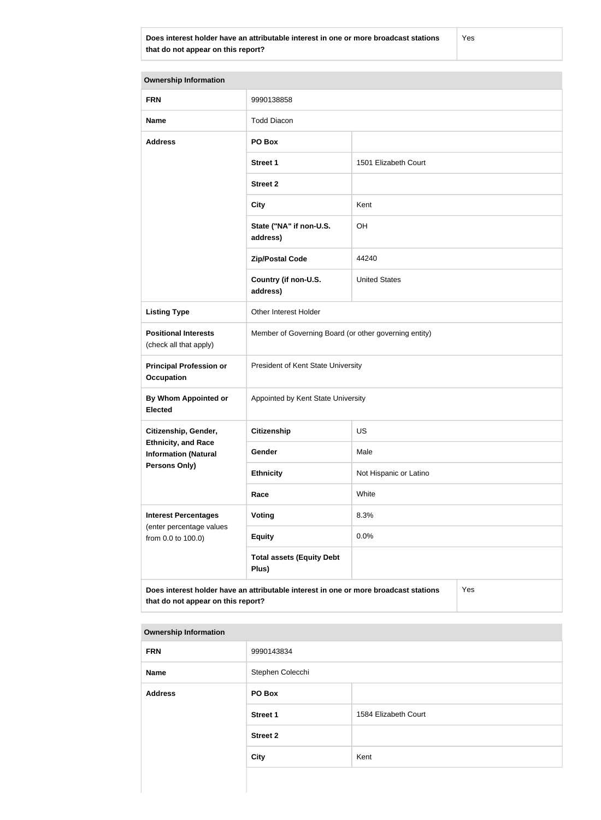**Does interest holder have an attributable interest in one or more broadcast stations that do not appear on this report?**

Yes

**Ownership Information FRN** 9990138858 **Name** Todd Diacon **Address PO Box Street 1** 1501 Elizabeth Court **Street 2 City** Kent **State ("NA" if non-U.S. address)** OH **Zip/Postal Code** 44240 **Country (if non-U.S. address)** United States **Listing Type Cina Communist Communist Property** Other Interest Holder **Positional Interests** (check all that apply) Member of Governing Board (or other governing entity) **Principal Profession or Occupation** President of Kent State University **By Whom Appointed or Elected** Appointed by Kent State University **Citizenship, Gender, Ethnicity, and Race Information (Natural Persons Only) Citizenship** US Gender Male **Ethnicity** Not Hispanic or Latino **Race** White **Interest Percentages** (enter percentage values from 0.0 to 100.0) **Voting** 8.3% **Equity** 0.0% **Total assets (Equity Debt Plus) Does interest holder have an attributable interest in one or more broadcast stations that do not appear on this report?** Yes

#### **Ownership Information**

| <b>FRN</b>     | 9990143834       |                      |
|----------------|------------------|----------------------|
| Name           | Stephen Colecchi |                      |
| <b>Address</b> | PO Box           |                      |
|                | <b>Street 1</b>  | 1584 Elizabeth Court |
|                | <b>Street 2</b>  |                      |
|                | <b>City</b>      | Kent                 |
|                |                  |                      |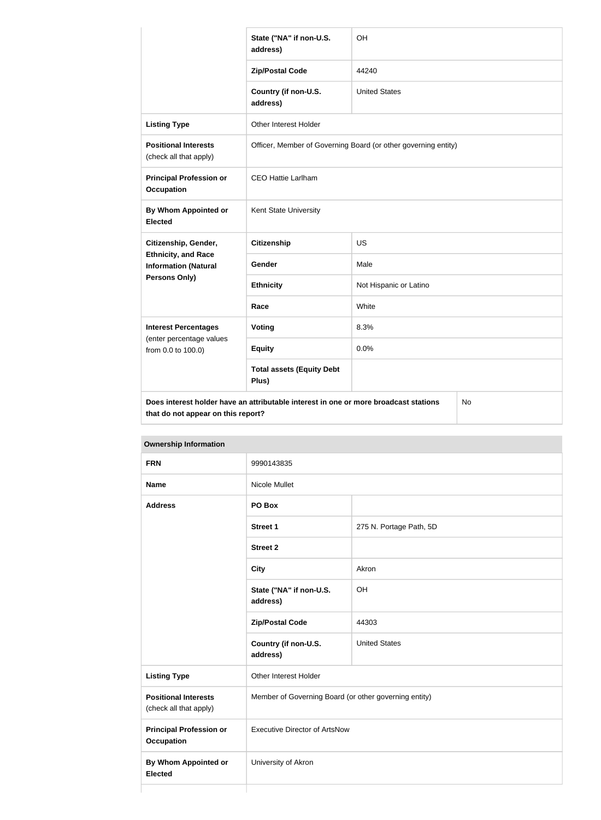|                                                                                                   | State ("NA" if non-U.S.<br>address)                            | OH                     |  |
|---------------------------------------------------------------------------------------------------|----------------------------------------------------------------|------------------------|--|
|                                                                                                   | <b>Zip/Postal Code</b>                                         | 44240                  |  |
|                                                                                                   | Country (if non-U.S.<br>address)                               | <b>United States</b>   |  |
| <b>Listing Type</b>                                                                               | Other Interest Holder                                          |                        |  |
| <b>Positional Interests</b><br>(check all that apply)                                             | Officer, Member of Governing Board (or other governing entity) |                        |  |
| <b>Principal Profession or</b><br><b>Occupation</b>                                               | <b>CEO Hattie Larlham</b>                                      |                        |  |
| <b>By Whom Appointed or</b><br><b>Elected</b>                                                     | Kent State University                                          |                        |  |
| Citizenship, Gender,                                                                              | <b>Citizenship</b>                                             | US                     |  |
| <b>Ethnicity, and Race</b><br><b>Information (Natural</b>                                         | Gender                                                         | Male                   |  |
| <b>Persons Only)</b>                                                                              | <b>Ethnicity</b>                                               | Not Hispanic or Latino |  |
|                                                                                                   | Race                                                           | White                  |  |
| <b>Interest Percentages</b>                                                                       | Voting                                                         | 8.3%                   |  |
| (enter percentage values<br>from 0.0 to 100.0)                                                    | <b>Equity</b>                                                  | 0.0%                   |  |
|                                                                                                   | <b>Total assets (Equity Debt</b><br>Plus)                      |                        |  |
| Does interest holder have an attributable interest in one or more broadcast stations<br><b>No</b> |                                                                |                        |  |

**that do not appear on this report? Ownership Information FRN** 9990143835 **Name** Nicole Mullet **Address PO Box Street 1** 275 N. Portage Path, 5D **Street 2 City** Akron **State ("NA" if non-U.S. address)** OH **Zip/Postal Code** 44303 **Country (if non-U.S. address)** United States **Listing Type Communist Communist Property** Other Interest Holder **Positional Interests** (check all that apply) Member of Governing Board (or other governing entity) **Principal Profession or Occupation** Executive Director of ArtsNow

**By Whom Appointed or** 

University of Akron

**Elected**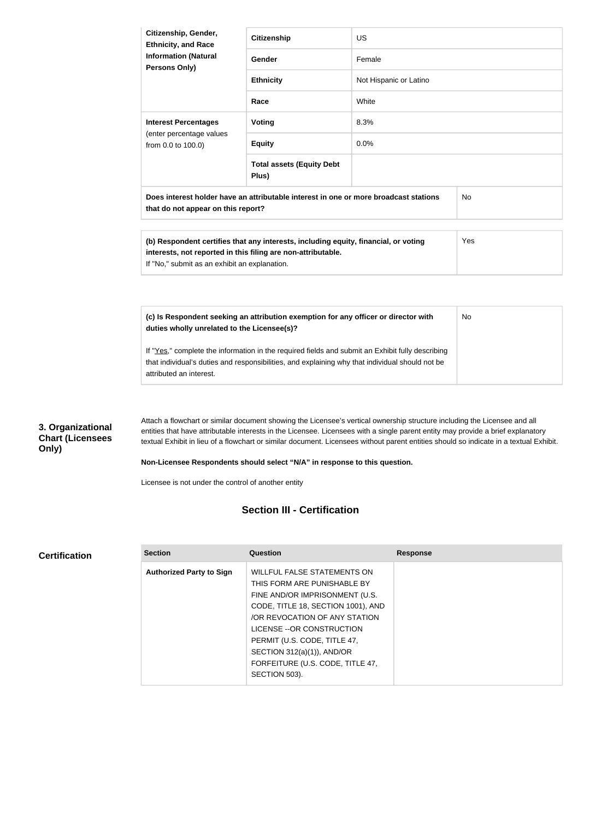|                                                       | Citizenship, Gender,<br><b>Ethnicity, and Race</b><br><b>Information (Natural</b><br>Persons Only)                                                                                                                             | <b>Citizenship</b>                                                                  | <b>US</b>                                                                                                                                                                                                                                                                                                                                                                                               |    |
|-------------------------------------------------------|--------------------------------------------------------------------------------------------------------------------------------------------------------------------------------------------------------------------------------|-------------------------------------------------------------------------------------|---------------------------------------------------------------------------------------------------------------------------------------------------------------------------------------------------------------------------------------------------------------------------------------------------------------------------------------------------------------------------------------------------------|----|
|                                                       |                                                                                                                                                                                                                                | Gender                                                                              | Female                                                                                                                                                                                                                                                                                                                                                                                                  |    |
|                                                       |                                                                                                                                                                                                                                | <b>Ethnicity</b>                                                                    | Not Hispanic or Latino                                                                                                                                                                                                                                                                                                                                                                                  |    |
|                                                       |                                                                                                                                                                                                                                | Race                                                                                | White                                                                                                                                                                                                                                                                                                                                                                                                   |    |
|                                                       | <b>Interest Percentages</b><br>(enter percentage values<br>from 0.0 to 100.0)                                                                                                                                                  | <b>Voting</b>                                                                       | 8.3%                                                                                                                                                                                                                                                                                                                                                                                                    |    |
|                                                       |                                                                                                                                                                                                                                | <b>Equity</b>                                                                       | 0.0%                                                                                                                                                                                                                                                                                                                                                                                                    |    |
|                                                       |                                                                                                                                                                                                                                | <b>Total assets (Equity Debt</b><br>Plus)                                           |                                                                                                                                                                                                                                                                                                                                                                                                         |    |
|                                                       | Does interest holder have an attributable interest in one or more broadcast stations<br>that do not appear on this report?                                                                                                     |                                                                                     | No                                                                                                                                                                                                                                                                                                                                                                                                      |    |
|                                                       |                                                                                                                                                                                                                                |                                                                                     |                                                                                                                                                                                                                                                                                                                                                                                                         |    |
|                                                       | (b) Respondent certifies that any interests, including equity, financial, or voting<br>interests, not reported in this filing are non-attributable.<br>If "No," submit as an exhibit an explanation.                           |                                                                                     | Yes                                                                                                                                                                                                                                                                                                                                                                                                     |    |
|                                                       |                                                                                                                                                                                                                                |                                                                                     |                                                                                                                                                                                                                                                                                                                                                                                                         |    |
|                                                       | duties wholly unrelated to the Licensee(s)?                                                                                                                                                                                    | (c) Is Respondent seeking an attribution exemption for any officer or director with |                                                                                                                                                                                                                                                                                                                                                                                                         | No |
|                                                       | If "Yes," complete the information in the required fields and submit an Exhibit fully describing<br>that individual's duties and responsibilities, and explaining why that individual should not be<br>attributed an interest. |                                                                                     |                                                                                                                                                                                                                                                                                                                                                                                                         |    |
|                                                       |                                                                                                                                                                                                                                |                                                                                     |                                                                                                                                                                                                                                                                                                                                                                                                         |    |
| 3. Organizational<br><b>Chart (Licensees</b><br>Only) |                                                                                                                                                                                                                                |                                                                                     | Attach a flowchart or similar document showing the Licensee's vertical ownership structure including the Licensee and all<br>entities that have attributable interests in the Licensee. Licensees with a single parent entity may provide a brief explanatory<br>textual Exhibit in lieu of a flowchart or similar document. Licensees without parent entities should so indicate in a textual Exhibit. |    |
|                                                       |                                                                                                                                                                                                                                | Non-Licensee Respondents should select "N/A" in response to this question.          |                                                                                                                                                                                                                                                                                                                                                                                                         |    |
|                                                       | Licensee is not under the control of another entity                                                                                                                                                                            |                                                                                     |                                                                                                                                                                                                                                                                                                                                                                                                         |    |

# **Section III - Certification**

#### **Certification**

| <b>Section</b>                  | Question                           | <b>Response</b> |
|---------------------------------|------------------------------------|-----------------|
| <b>Authorized Party to Sign</b> | <b>WILLFUL FALSE STATEMENTS ON</b> |                 |
|                                 | THIS FORM ARE PUNISHABLE BY        |                 |
|                                 | FINE AND/OR IMPRISONMENT (U.S.     |                 |
|                                 | CODE, TITLE 18, SECTION 1001), AND |                 |
|                                 | OR REVOCATION OF ANY STATION       |                 |
|                                 | LICENSE -- OR CONSTRUCTION         |                 |
|                                 | PERMIT (U.S. CODE, TITLE 47,       |                 |
|                                 | SECTION $312(a)(1)$ ), AND/OR      |                 |
|                                 | FORFEITURE (U.S. CODE, TITLE 47,   |                 |
|                                 | SECTION 503).                      |                 |